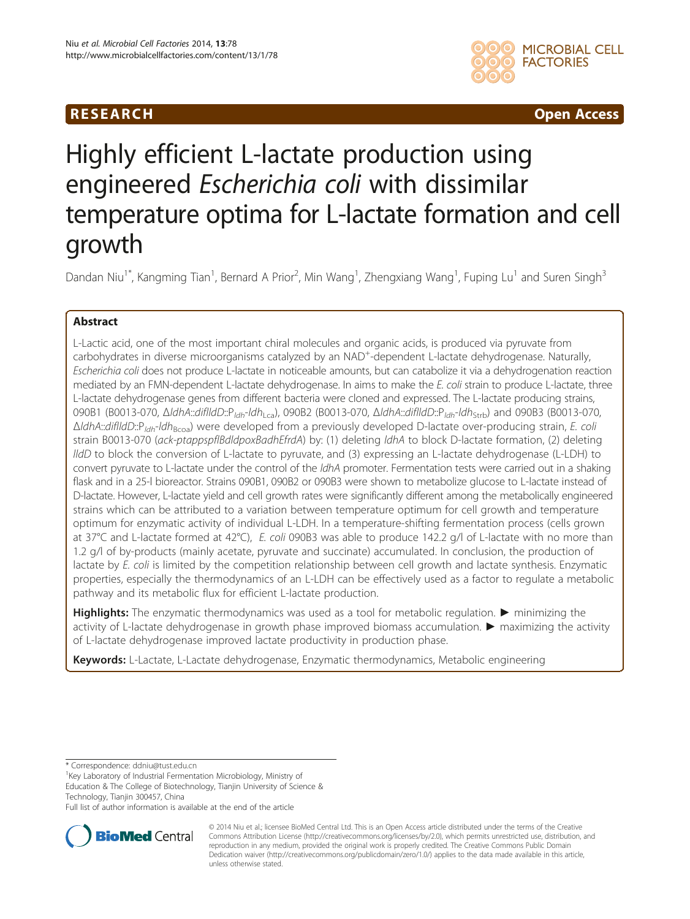# **RESEARCH RESEARCH** *CHECKER CHECKER CHECKER CHECKER CHECKER CHECKER CHECKER CHECKER CHECKER CHECKER CHECKER*



# Highly efficient L-lactate production using engineered Escherichia coli with dissimilar temperature optima for L-lactate formation and cell growth

Dandan Niu<sup>1\*</sup>, Kangming Tian<sup>1</sup>, Bernard A Prior<sup>2</sup>, Min Wang<sup>1</sup>, Zhengxiang Wang<sup>1</sup>, Fuping Lu<sup>1</sup> and Suren Singh<sup>3</sup>

## Abstract

L-Lactic acid, one of the most important chiral molecules and organic acids, is produced via pyruvate from carbohydrates in diverse microorganisms catalyzed by an NAD<sup>+</sup>-dependent L-lactate dehydrogenase. Naturally, Escherichia coli does not produce L-lactate in noticeable amounts, but can catabolize it via a dehydrogenation reaction mediated by an FMN-dependent L-lactate dehydrogenase. In aims to make the E. coli strain to produce L-lactate, three L-lactate dehydrogenase genes from different bacteria were cloned and expressed. The L-lactate producing strains, 090B1 (B0013-070, ΔldhA::diflldD::P<sub>ldh</sub>-ldh<sub>Lca</sub>), 090B2 (B0013-070, ΔldhA::diflldD::P<sub>ldh</sub>-ldh<sub>Strb</sub>) and 090B3 (B0013-070,  $\Delta$ ldhA::diflldD::P<sub>ldh</sub>-ldh<sub>Bcoa</sub>) were developed from a previously developed D-lactate over-producing strain, E. coli strain B0013-070 (ack-ptappspflBdldpoxBadhEfrdA) by: (1) deleting *ldhA* to block D-lactate formation, (2) deleting lldD to block the conversion of L-lactate to pyruvate, and (3) expressing an L-lactate dehydrogenase (L-LDH) to convert pyruvate to L-lactate under the control of the ldhA promoter. Fermentation tests were carried out in a shaking flask and in a 25-l bioreactor. Strains 090B1, 090B2 or 090B3 were shown to metabolize glucose to L-lactate instead of D-lactate. However, L-lactate yield and cell growth rates were significantly different among the metabolically engineered strains which can be attributed to a variation between temperature optimum for cell growth and temperature optimum for enzymatic activity of individual L-LDH. In a temperature-shifting fermentation process (cells grown at 37°C and L-lactate formed at 42°C), E. coli 090B3 was able to produce 142.2 g/l of L-lactate with no more than 1.2 g/l of by-products (mainly acetate, pyruvate and succinate) accumulated. In conclusion, the production of lactate by E. coli is limited by the competition relationship between cell growth and lactate synthesis. Enzymatic properties, especially the thermodynamics of an L-LDH can be effectively used as a factor to regulate a metabolic pathway and its metabolic flux for efficient L-lactate production.

Highlights: The enzymatic thermodynamics was used as a tool for metabolic regulation. ► minimizing the activity of L-lactate dehydrogenase in growth phase improved biomass accumulation. ► maximizing the activity of L-lactate dehydrogenase improved lactate productivity in production phase.

Keywords: L-Lactate, L-Lactate dehydrogenase, Enzymatic thermodynamics, Metabolic engineering

\* Correspondence: [ddniu@tust.edu.cn](mailto:ddniu@tust.edu.cn) <sup>1</sup>

 $1$ Key Laboratory of Industrial Fermentation Microbiology, Ministry of

Education & The College of Biotechnology, Tianjin University of Science & Technology, Tianjin 300457, China

Full list of author information is available at the end of the article



© 2014 Niu et al.; licensee BioMed Central Ltd. This is an Open Access article distributed under the terms of the Creative Commons Attribution License [\(http://creativecommons.org/licenses/by/2.0\)](http://creativecommons.org/licenses/by/2.0), which permits unrestricted use, distribution, and reproduction in any medium, provided the original work is properly credited. The Creative Commons Public Domain Dedication waiver [\(http://creativecommons.org/publicdomain/zero/1.0/](http://creativecommons.org/publicdomain/zero/1.0/)) applies to the data made available in this article, unless otherwise stated.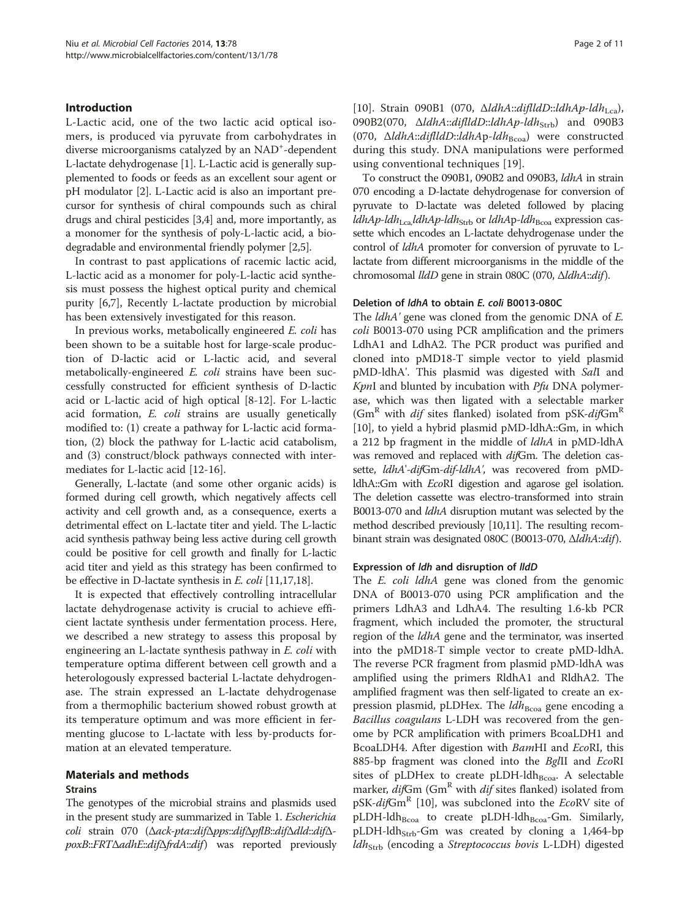#### Introduction

L-Lactic acid, one of the two lactic acid optical isomers, is produced via pyruvate from carbohydrates in diverse microorganisms catalyzed by an NAD<sup>+</sup>-dependent L-lactate dehydrogenase [\[1](#page-9-0)]. L-Lactic acid is generally supplemented to foods or feeds as an excellent sour agent or pH modulator [[2\]](#page-9-0). L-Lactic acid is also an important precursor for synthesis of chiral compounds such as chiral drugs and chiral pesticides [\[3,4](#page-9-0)] and, more importantly, as a monomer for the synthesis of poly-L-lactic acid, a biodegradable and environmental friendly polymer [\[2,5](#page-9-0)].

In contrast to past applications of racemic lactic acid, L-lactic acid as a monomer for poly-L-lactic acid synthesis must possess the highest optical purity and chemical purity [\[6,7](#page-9-0)], Recently L-lactate production by microbial has been extensively investigated for this reason.

In previous works, metabolically engineered E. coli has been shown to be a suitable host for large-scale production of D-lactic acid or L-lactic acid, and several metabolically-engineered E. coli strains have been successfully constructed for efficient synthesis of D-lactic acid or L-lactic acid of high optical [\[8](#page-9-0)-[12\]](#page-9-0). For L-lactic acid formation, E. coli strains are usually genetically modified to: (1) create a pathway for L-lactic acid formation, (2) block the pathway for L-lactic acid catabolism, and (3) construct/block pathways connected with intermediates for L-lactic acid [[12](#page-9-0)-[16\]](#page-10-0).

Generally, L-lactate (and some other organic acids) is formed during cell growth, which negatively affects cell activity and cell growth and, as a consequence, exerts a detrimental effect on L-lactate titer and yield. The L-lactic acid synthesis pathway being less active during cell growth could be positive for cell growth and finally for L-lactic acid titer and yield as this strategy has been confirmed to be effective in D-lactate synthesis in E. coli [\[11,](#page-9-0)[17](#page-10-0),[18](#page-10-0)].

It is expected that effectively controlling intracellular lactate dehydrogenase activity is crucial to achieve efficient lactate synthesis under fermentation process. Here, we described a new strategy to assess this proposal by engineering an L-lactate synthesis pathway in *E. coli* with temperature optima different between cell growth and a heterologously expressed bacterial L-lactate dehydrogenase. The strain expressed an L-lactate dehydrogenase from a thermophilic bacterium showed robust growth at its temperature optimum and was more efficient in fermenting glucose to L-lactate with less by-products formation at an elevated temperature.

## Materials and methods

## Strains

The genotypes of the microbial strains and plasmids used in the present study are summarized in Table [1.](#page-2-0) Escherichia coli strain 070 (Δack-pta::difΔpps::difΔpflB::difΔdld::difΔpoxB::FRTΔadhE::difΔfrdA::dif) was reported previously [[10\]](#page-9-0). Strain 090B1 (070,  $\Delta$ ldhA::diflldD::ldhAp-ldh<sub>Lca</sub>), 090B2(070, ΔldhA::diflldD::ldhAp-ldh<sub>Strb</sub>) and 090B3 (070,  $\Delta$ ldhA::diflldD::ldhAp-ldh<sub>Bcoa</sub>) were constructed during this study. DNA manipulations were performed using conventional techniques [[19\]](#page-10-0).

To construct the 090B1, 090B2 and 090B3, ldhA in strain 070 encoding a D-lactate dehydrogenase for conversion of pyruvate to D-lactate was deleted followed by placing ldhAp-ldh<sub>Lca,</sub>ldhAp-ldh<sub>Strb</sub> or ldhAp-ldh<sub>Bcoa</sub> expression cassette which encodes an L-lactate dehydrogenase under the control of ldhA promoter for conversion of pyruvate to Llactate from different microorganisms in the middle of the chromosomal lldD gene in strain 080C (070, ΔldhA::dif).

#### Deletion of ldhA to obtain E. coli B0013-080C

The *ldhA'* gene was cloned from the genomic DNA of *E*. coli B0013-070 using PCR amplification and the primers LdhA1 and LdhA2. The PCR product was purified and cloned into pMD18-T simple vector to yield plasmid pMD-ldhA'. This plasmid was digested with SalI and  $KpnI$  and blunted by incubation with  $Pfu$  DNA polymerase, which was then ligated with a selectable marker ( $\text{Gm}^R$  with *dif* sites flanked) isolated from pSK- $di / \text{Gm}^R$ [[10\]](#page-9-0), to yield a hybrid plasmid pMD-ldhA::Gm, in which a 212 bp fragment in the middle of ldhA in pMD-ldhA was removed and replaced with difGm. The deletion cassette, ldhA'-difGm-dif-ldhA', was recovered from pMDldhA::Gm with EcoRI digestion and agarose gel isolation. The deletion cassette was electro-transformed into strain B0013-070 and *ldhA* disruption mutant was selected by the method described previously [[10,11\]](#page-9-0). The resulting recombinant strain was designated 080C (B0013-070, ΔldhA::dif).

#### Expression of ldh and disruption of lldD

The *E. coli ldhA* gene was cloned from the genomic DNA of B0013-070 using PCR amplification and the primers LdhA3 and LdhA4. The resulting 1.6-kb PCR fragment, which included the promoter, the structural region of the ldhA gene and the terminator, was inserted into the pMD18-T simple vector to create pMD-ldhA. The reverse PCR fragment from plasmid pMD-ldhA was amplified using the primers RldhA1 and RldhA2. The amplified fragment was then self-ligated to create an expression plasmid, pLDHex. The  $ldh_{\text{Bcoa}}$  gene encoding a Bacillus coagulans L-LDH was recovered from the genome by PCR amplification with primers BcoaLDH1 and BcoaLDH4. After digestion with BamHI and EcoRI, this 885-bp fragment was cloned into the BgIII and EcoRI sites of pLDHex to create pLDH-ldh $_{\text{Bcoa}}$ . A selectable marker,  $di$ fGm (Gm<sup>R</sup> with  $di$ f sites flanked) isolated from pSK-difGm<sup>R</sup> [\[10](#page-9-0)], was subcloned into the EcoRV site of pLDH-ldh $_{\text{Bcoa}}$  to create pLDH-ldh $_{\text{Bcoa}}$ -Gm. Similarly, pLDH-ldh<sub>Strb</sub>-Gm was created by cloning a 1,464-bp  $ldh_{\text{Strb}}$  (encoding a Streptococcus bovis L-LDH) digested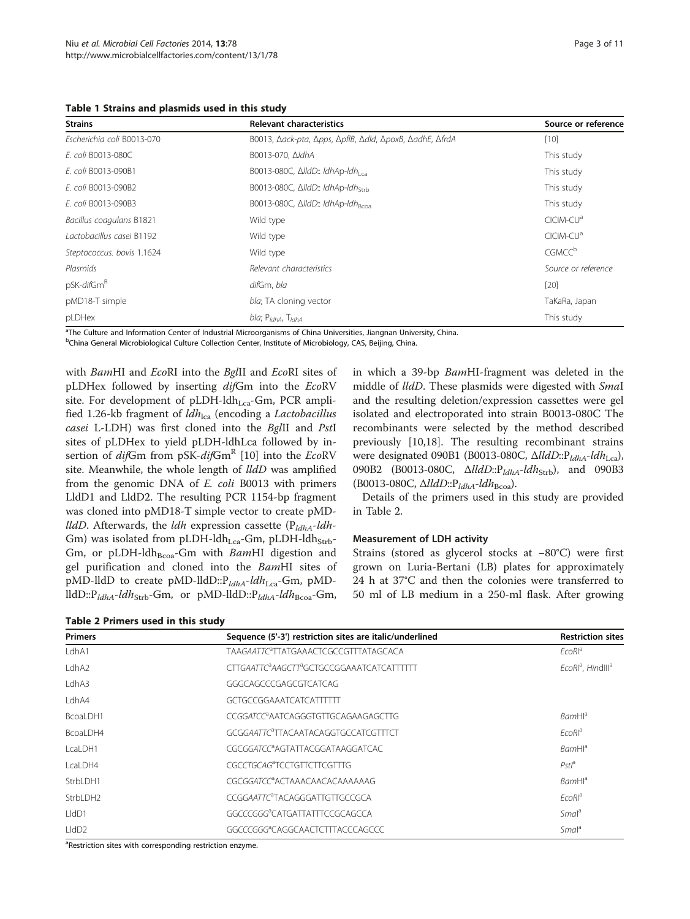<span id="page-2-0"></span>Table 1 Strains and plasmids used in this study

| <b>Strains</b>             | <b>Relevant characteristics</b>                         | Source or reference      |  |  |
|----------------------------|---------------------------------------------------------|--------------------------|--|--|
| Escherichia coli B0013-070 | B0013, Δack-pta, Δpps, ΔpflB, Δdld, ΔpoxB, ΔadhE, ΔfrdA | $[10]$                   |  |  |
| E. coli B0013-080C         | B0013-070, ∆ldhA                                        | This study               |  |  |
| E. coli B0013-090B1        | B0013-080C, $\Delta$ IldD:: IdhAp-Idh                   | This study               |  |  |
| E. coli B0013-090B2        | B0013-080C, ΔlldD:: ldhAp-ldhstrb                       | This study               |  |  |
| E. coli B0013-090B3        | B0013-080C, $\Delta$ IldD:: IdhAp-Idh <sub>Bcoa</sub>   | This study               |  |  |
| Bacillus coagulans B1821   | Wild type                                               | CICIM-CU <sup>a</sup>    |  |  |
| Lactobacillus casei B1192  | Wild type                                               | CICIM-CU <sup>a</sup>    |  |  |
| Steptococcus. bovis 1.1624 | Wild type                                               | <b>CGMCC<sup>b</sup></b> |  |  |
| Plasmids                   | Relevant characteristics                                | Source or reference      |  |  |
| pSK-difGm <sup>R</sup>     | difGm, bla                                              | $[20]$                   |  |  |
| pMD18-T simple             | bla; TA cloning vector                                  | TaKaRa, Japan            |  |  |
| pLDHex                     | bla; P <sub>ldhA</sub> , T <sub>ldhA</sub>              | This study               |  |  |

<sup>a</sup>The Culture and Information Center of Industrial Microorganisms of China Universities, Jiangnan University, China.

<sup>b</sup>China General Microbiological Culture Collection Center, Institute of Microbiology, CAS, Beijing, China.

with BamHI and EcoRI into the BglII and EcoRI sites of pLDHex followed by inserting difGm into the EcoRV site. For development of pLDH-ldh<sub>Lca</sub>-Gm, PCR amplified 1.26-kb fragment of  $ldh_{lca}$  (encoding a Lactobacillus casei L-LDH) was first cloned into the BglII and PstI sites of pLDHex to yield pLDH-ldhLca followed by insertion of  $di$ fGm from pSK- $di$ fGm<sup>R</sup> [[10](#page-9-0)] into the EcoRV site. Meanwhile, the whole length of lldD was amplified from the genomic DNA of E. coli B0013 with primers LldD1 and LldD2. The resulting PCR 1154-bp fragment was cloned into pMD18-T simple vector to create pMD*lldD*. Afterwards, the *ldh* expression cassette ( $P_{ldhA}$ -ldh-Gm) was isolated from pLDH-ldh<sub>Lca</sub>-Gm, pLDH-ldh<sub>Strb</sub>-Gm, or pLDH-ldh $_{\text{Bcoa}}$ -Gm with BamHI digestion and gel purification and cloned into the BamHI sites of pMD-lldD to create pMD-lldD:: $P_{ldhA}$ -ldh<sub>Lca</sub>-Gm, pMDlldD:: $P_{ldhA}$ -ldh<sub>Strb</sub>-Gm, or pMD-lldD:: $P_{ldhA}$ -ldh<sub>Bcoa</sub>-Gm,

in which a 39-bp BamHI-fragment was deleted in the middle of *lldD*. These plasmids were digested with *SmaI* and the resulting deletion/expression cassettes were gel isolated and electroporated into strain B0013-080C The recombinants were selected by the method described previously [[10,](#page-9-0)[18\]](#page-10-0). The resulting recombinant strains were designated 090B1 (B0013-080C, ΔlldD:: P<sub>ldhA</sub>-ldh<sub>Lca</sub>), 090B2 (B0013-080C, ΔlldD::P<sub>ldhA</sub>-ldh<sub>Strb</sub>), and 090B3 (B0013-080C,  $\Delta$ lldD:: $P_{ldhA}$ -ldh<sub>Bcoa</sub>).

Details of the primers used in this study are provided in Table 2.

### Measurement of LDH activity

Strains (stored as glycerol stocks at −80°C) were first grown on Luria-Bertani (LB) plates for approximately 24 h at 37°C and then the colonies were transferred to 50 ml of LB medium in a 250-ml flask. After growing

| Table 2 Primers used in this study |                                                                    |                                           |  |  |  |  |  |
|------------------------------------|--------------------------------------------------------------------|-------------------------------------------|--|--|--|--|--|
| <b>Primers</b>                     | Sequence (5'-3') restriction sites are italic/underlined           | <b>Restriction sites</b>                  |  |  |  |  |  |
| LdhA1                              | TAAGAATTC <sup>a</sup> TTATGAAACTCGCCGTTTATAGCACA                  | EcoRl <sup>a</sup>                        |  |  |  |  |  |
| LdhA2                              | CTTGAATTC <sup>a</sup> AAGCTT <sup>a</sup> GCTGCCGGAAATCATCATTTTTT | EcoRl <sup>a</sup> , Hindlll <sup>a</sup> |  |  |  |  |  |
| LdhA3                              | GGGCAGCCCGAGCGTCATCAG                                              |                                           |  |  |  |  |  |
| LdhA4                              | GCTGCCGGAAATCATCATTTTT                                             |                                           |  |  |  |  |  |
| BcoaLDH1                           | CCGGATCC <sup>a</sup> AATCAGGGTGTTGCAGAAGAGCTTG                    | <b>BamHl</b> <sup>a</sup>                 |  |  |  |  |  |
| BcoaLDH4                           | GCGGAATTC <sup>a</sup> TTACAATACAGGTGCCATCGTTTCT                   | EcoRl <sup>a</sup>                        |  |  |  |  |  |
| LcaLDH1                            | CGCGGATCC <sup>a</sup> AGTATTACGGATAAGGATCAC                       | BamHl <sup>a</sup>                        |  |  |  |  |  |
| LcaLDH4                            | CGCCTGCAG <sup>a</sup> TCCTGTTCTTCGTTTG                            | Pstl <sup>a</sup>                         |  |  |  |  |  |
| StrbLDH1                           | CGCGGATCC <sup>a</sup> ACTAAACAACACAAAAAAAG                        | <b>BamHl</b> <sup>a</sup>                 |  |  |  |  |  |
| StrbLDH2                           | CCGGAATTC <sup>a</sup> TACAGGGATTGTTGCCGCA                         | EcoRl <sup>a</sup>                        |  |  |  |  |  |
| HdD1                               | GGCCCGGG <sup>a</sup> CATGATTATTTCCGCAGCCA                         | Smal <sup>a</sup>                         |  |  |  |  |  |
| $L$ dD <sub>2</sub>                | GGCCCGGG <sup>a</sup> CAGGCAACTCTTTACCCAGCCC                       | Smal <sup>a</sup>                         |  |  |  |  |  |

<sup>a</sup>Restriction sites with corresponding restriction enzyme.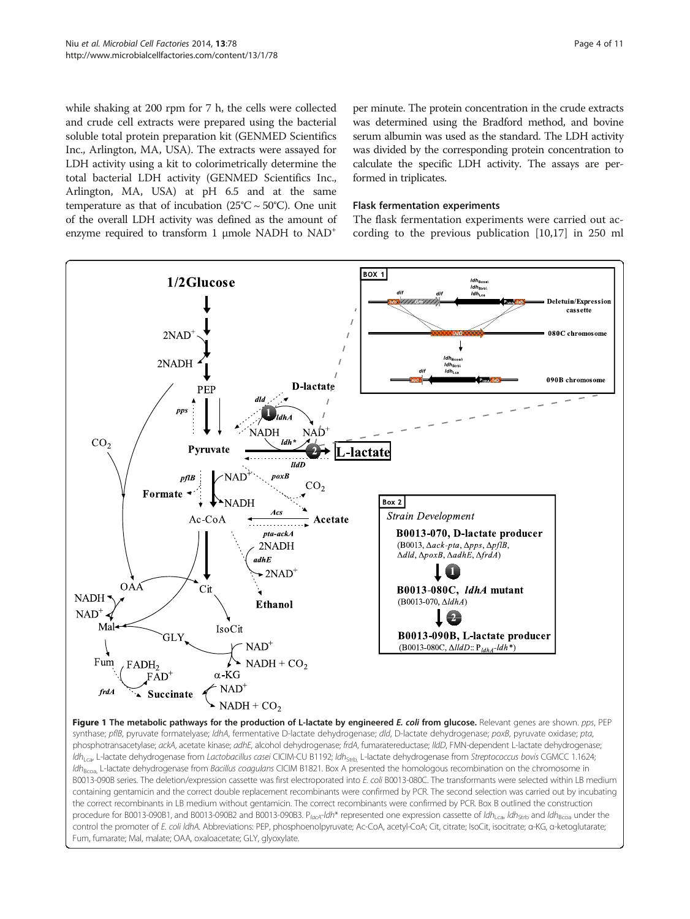<span id="page-3-0"></span>while shaking at 200 rpm for 7 h, the cells were collected and crude cell extracts were prepared using the bacterial soluble total protein preparation kit (GENMED Scientifics Inc., Arlington, MA, USA). The extracts were assayed for LDH activity using a kit to colorimetrically determine the total bacterial LDH activity (GENMED Scientifics Inc., Arlington, MA, USA) at pH 6.5 and at the same temperature as that of incubation  $(25^{\circ}C \sim 50^{\circ}C)$ . One unit of the overall LDH activity was defined as the amount of enzyme required to transform 1 μmole NADH to NAD+

per minute. The protein concentration in the crude extracts was determined using the Bradford method, and bovine serum albumin was used as the standard. The LDH activity was divided by the corresponding protein concentration to calculate the specific LDH activity. The assays are performed in triplicates.

## Flask fermentation experiments

The flask fermentation experiments were carried out according to the previous publication [\[10](#page-9-0)[,17](#page-10-0)] in 250 ml

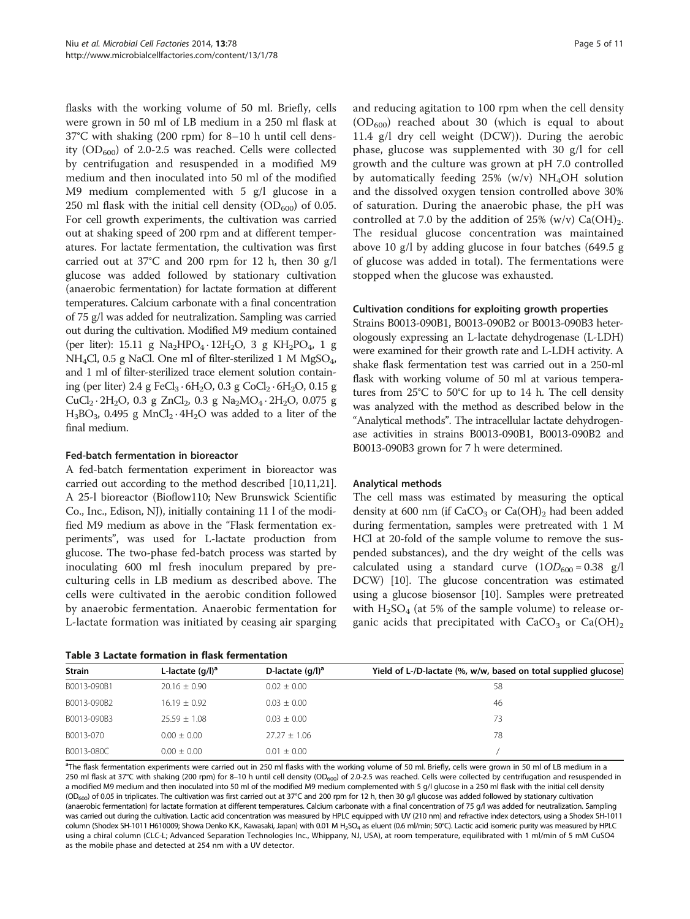<span id="page-4-0"></span>flasks with the working volume of 50 ml. Briefly, cells were grown in 50 ml of LB medium in a 250 ml flask at 37°C with shaking (200 rpm) for 8–10 h until cell density  $(OD_{600})$  of 2.0-2.5 was reached. Cells were collected by centrifugation and resuspended in a modified M9 medium and then inoculated into 50 ml of the modified M9 medium complemented with 5 g/l glucose in a 250 ml flask with the initial cell density  $(OD_{600})$  of 0.05. For cell growth experiments, the cultivation was carried out at shaking speed of 200 rpm and at different temperatures. For lactate fermentation, the cultivation was first carried out at 37°C and 200 rpm for 12 h, then 30 g/l glucose was added followed by stationary cultivation (anaerobic fermentation) for lactate formation at different temperatures. Calcium carbonate with a final concentration of 75 g/l was added for neutralization. Sampling was carried out during the cultivation. Modified M9 medium contained (per liter): 15.11 g Na<sub>2</sub>HPO<sub>4</sub> · 12H<sub>2</sub>O, 3 g KH<sub>2</sub>PO<sub>4</sub>, 1 g NH4Cl, 0.5 g NaCl. One ml of filter-sterilized 1 M MgSO4, and 1 ml of filter-sterilized trace element solution containing (per liter) 2.4 g FeCl<sub>3</sub> · 6H<sub>2</sub>O, 0.3 g CoCl<sub>2</sub> · 6H<sub>2</sub>O, 0.15 g  $CuCl_2 \tcdot 2H_2O$ , 0.3 g  $ZnCl_2$ , 0.3 g Na<sub>2</sub>MO<sub>4</sub> $\cdot$  2H<sub>2</sub>O, 0.075 g  $H_3BO_3$ , 0.495 g MnCl<sub>2</sub> · 4H<sub>2</sub>O was added to a liter of the final medium.

## Fed-batch fermentation in bioreactor

A fed-batch fermentation experiment in bioreactor was carried out according to the method described [\[10,11,](#page-9-0)[21](#page-10-0)]. A 25-l bioreactor (Bioflow110; New Brunswick Scientific Co., Inc., Edison, NJ), initially containing 11 l of the modified M9 medium as above in the "Flask fermentation experiments", was used for L-lactate production from glucose. The two-phase fed-batch process was started by inoculating 600 ml fresh inoculum prepared by preculturing cells in LB medium as described above. The cells were cultivated in the aerobic condition followed by anaerobic fermentation. Anaerobic fermentation for L-lactate formation was initiated by ceasing air sparging

| Table 3 Lactate formation in flask fermentation |  |  |  |
|-------------------------------------------------|--|--|--|
|-------------------------------------------------|--|--|--|

and reducing agitation to 100 rpm when the cell density  $(OD<sub>600</sub>)$  reached about 30 (which is equal to about 11.4 g/l dry cell weight (DCW)). During the aerobic phase, glucose was supplemented with 30 g/l for cell growth and the culture was grown at pH 7.0 controlled by automatically feeding  $25\%$  (w/v) NH<sub>4</sub>OH solution and the dissolved oxygen tension controlled above 30% of saturation. During the anaerobic phase, the pH was controlled at 7.0 by the addition of 25% (w/v)  $Ca(OH)_{2}$ . The residual glucose concentration was maintained above 10 g/l by adding glucose in four batches (649.5 g of glucose was added in total). The fermentations were stopped when the glucose was exhausted.

#### Cultivation conditions for exploiting growth properties

Strains B0013-090B1, B0013-090B2 or B0013-090B3 heterologously expressing an L-lactate dehydrogenase (L-LDH) were examined for their growth rate and L-LDH activity. A shake flask fermentation test was carried out in a 250-ml flask with working volume of 50 ml at various temperatures from 25°C to 50°C for up to 14 h. The cell density was analyzed with the method as described below in the "Analytical methods". The intracellular lactate dehydrogenase activities in strains B0013-090B1, B0013-090B2 and B0013-090B3 grown for 7 h were determined.

#### Analytical methods

The cell mass was estimated by measuring the optical density at 600 nm (if  $CaCO<sub>3</sub>$  or  $Ca(OH)<sub>2</sub>$  had been added during fermentation, samples were pretreated with 1 M HCl at 20-fold of the sample volume to remove the suspended substances), and the dry weight of the cells was calculated using a standard curve  $(10D_{600} = 0.38 \text{ g/l})$ DCW) [\[10\]](#page-9-0). The glucose concentration was estimated using a glucose biosensor [\[10\]](#page-9-0). Samples were pretreated with  $H_2SO_4$  (at 5% of the sample volume) to release organic acids that precipitated with  $CaCO<sub>3</sub>$  or  $Ca(OH)<sub>2</sub>$ 

| <b>Strain</b> | L-lactate $(q/l)^a$ | D-lactate $\left(\frac{q}{l}\right)^a$ | Yield of L-/D-lactate (%, w/w, based on total supplied glucose) |
|---------------|---------------------|----------------------------------------|-----------------------------------------------------------------|
| B0013-090B1   | $20.16 + 0.90$      | $0.02 \pm 0.00$                        | 58                                                              |
| B0013-090B2   | $16.19 + 0.92$      | $0.03 \pm 0.00$                        | 46                                                              |
| B0013-090B3   | $25.59 + 1.08$      | $0.03 \pm 0.00$                        | 73                                                              |
| B0013-070     | $0.00 + 0.00$       | $27.27 + 1.06$                         | 78                                                              |
| B0013-080C    | $0.00 + 0.00$       | $0.01 + 0.00$                          |                                                                 |

<sup>a</sup>The flask fermentation experiments were carried out in 250 ml flasks with the working volume of 50 ml. Briefly, cells were grown in 50 ml of LB medium in a 250 ml flask at 37°C with shaking (200 rpm) for 8-10 h until cell density (OD<sub>600</sub>) of 2.0-2.5 was reached. Cells were collected by centrifugation and resuspended in a modified M9 medium and then inoculated into 50 ml of the modified M9 medium complemented with 5 g/l glucose in a 250 ml flask with the initial cell density (OD<sub>600</sub>) of 0.05 in triplicates. The cultivation was first carried out at 37°C and 200 rpm for 12 h, then 30 g/l glucose was added followed by stationary cultivation (anaerobic fermentation) for lactate formation at different temperatures. Calcium carbonate with a final concentration of 75 g/l was added for neutralization. Sampling was carried out during the cultivation. Lactic acid concentration was measured by HPLC equipped with UV (210 nm) and refractive index detectors, using a Shodex SH-1011 column (Shodex SH-1011 H610009; Showa Denko K.K., Kawasaki, Japan) with 0.01 M H<sub>2</sub>SO<sub>4</sub> as eluent (0.6 ml/min; 50°C). Lactic acid isomeric purity was measured by HPLC using a chiral column (CLC-L; Advanced Separation Technologies Inc., Whippany, NJ, USA), at room temperature, equilibrated with 1 ml/min of 5 mM CuSO4 as the mobile phase and detected at 254 nm with a UV detector.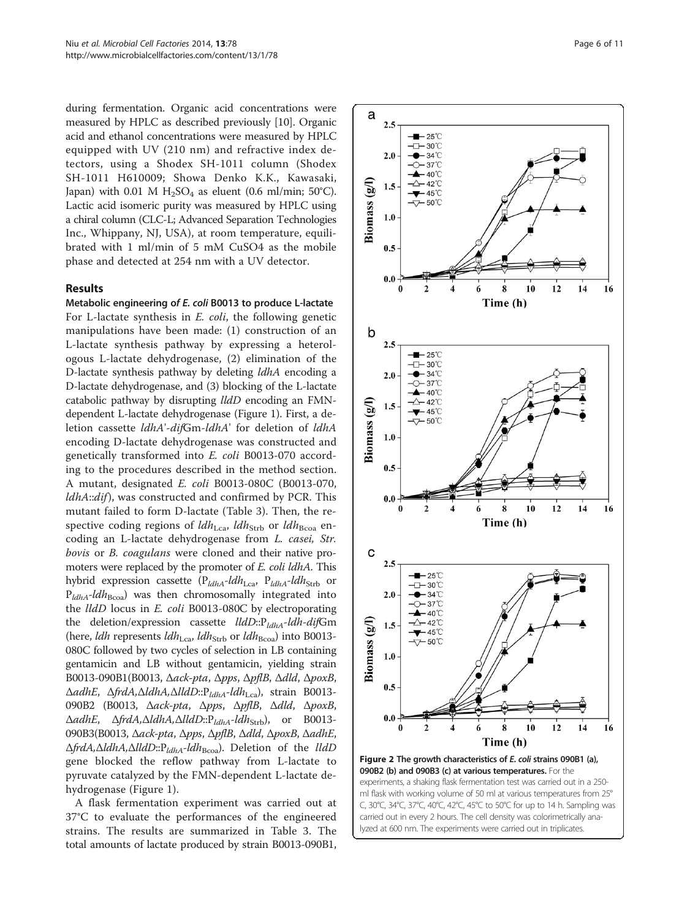<span id="page-5-0"></span>during fermentation. Organic acid concentrations were measured by HPLC as described previously [\[10\]](#page-9-0). Organic acid and ethanol concentrations were measured by HPLC equipped with UV (210 nm) and refractive index detectors, using a Shodex SH-1011 column (Shodex SH-1011 H610009; Showa Denko K.K., Kawasaki, Japan) with 0.01 M  $H_2SO_4$  as eluent (0.6 ml/min; 50°C). Lactic acid isomeric purity was measured by HPLC using a chiral column (CLC-L; Advanced Separation Technologies Inc., Whippany, NJ, USA), at room temperature, equilibrated with 1 ml/min of 5 mM CuSO4 as the mobile phase and detected at 254 nm with a UV detector.

### Results

Metabolic engineering of E. coli B0013 to produce L-lactate For L-lactate synthesis in *E. coli*, the following genetic manipulations have been made: (1) construction of an L-lactate synthesis pathway by expressing a heterologous L-lactate dehydrogenase, (2) elimination of the D-lactate synthesis pathway by deleting ldhA encoding a D-lactate dehydrogenase, and (3) blocking of the L-lactate catabolic pathway by disrupting lldD encoding an FMNdependent L-lactate dehydrogenase (Figure [1](#page-3-0)). First, a deletion cassette ldhA'-difGm-ldhA' for deletion of ldhA encoding D-lactate dehydrogenase was constructed and genetically transformed into E. coli B0013-070 according to the procedures described in the method section. A mutant, designated E. coli B0013-080C (B0013-070, ldhA::dif), was constructed and confirmed by PCR. This mutant failed to form D-lactate (Table [3](#page-4-0)). Then, the respective coding regions of  $ldh_{\text{Lca}}$ ,  $ldh_{\text{Strb}}$  or  $ldh_{\text{Bcoa}}$  encoding an L-lactate dehydrogenase from L. casei, Str. bovis or B. coagulans were cloned and their native promoters were replaced by the promoter of E. coli ldhA. This hybrid expression cassette ( $P_{ldhA}$ -ldh<sub>Lca</sub>,  $P_{ldhA}$ -ldh<sub>Strb</sub> or  $P_{ldhA}$ -ld $h_{Bcoa}$ ) was then chromosomally integrated into the lldD locus in E. coli B0013-080C by electroporating the deletion/expression cassette  $lldD::P_{ldhA}$ -ldh-difGm (here, *ldh* represents  $ldh_{\text{Lca}}$ ,  $ldh_{\text{Strb}}$  or  $ldh_{\text{Bcoa}}$ ) into B0013-080C followed by two cycles of selection in LB containing gentamicin and LB without gentamicin, yielding strain B0013-090B1(B0013, Δack-pta, Δpps, ΔpflB, Δdld, ΔpoxB, ΔadhE, ΔfrdA, ΔldhA, ΔlldD:: P<sub>ldhA</sub>-ldh<sub>Lca</sub>), strain B0013-090B2 (B0013, Δack-pta, Δpps, ΔpflB, Δdld, ΔpoxB,  $\Delta$ adhE,  $\Delta f r dA, \Delta l dhA, \Delta l dD::P_{ldhA} - l dh_{Strb}),$  or B0013-090B3(B0013, Δack-pta, Δpps, ΔpflB, Δdld, ΔpoxB, ΔadhE, ΔfrdA, ΔldhA, ΔlldD:: P<sub>ldhA</sub>-ldh<sub>Bcoa</sub>). Deletion of the lldD gene blocked the reflow pathway from L-lactate to pyruvate catalyzed by the FMN-dependent L-lactate dehydrogenase (Figure [1](#page-3-0)).

A flask fermentation experiment was carried out at 37°C to evaluate the performances of the engineered strains. The results are summarized in Table [3.](#page-4-0) The total amounts of lactate produced by strain B0013-090B1,



ml flask with working volume of 50 ml at various temperatures from 25° C, 30°C, 34°C, 37°C, 40°C, 42°C, 45°C to 50°C for up to 14 h. Sampling was carried out in every 2 hours. The cell density was colorimetrically analyzed at 600 nm. The experiments were carried out in triplicates.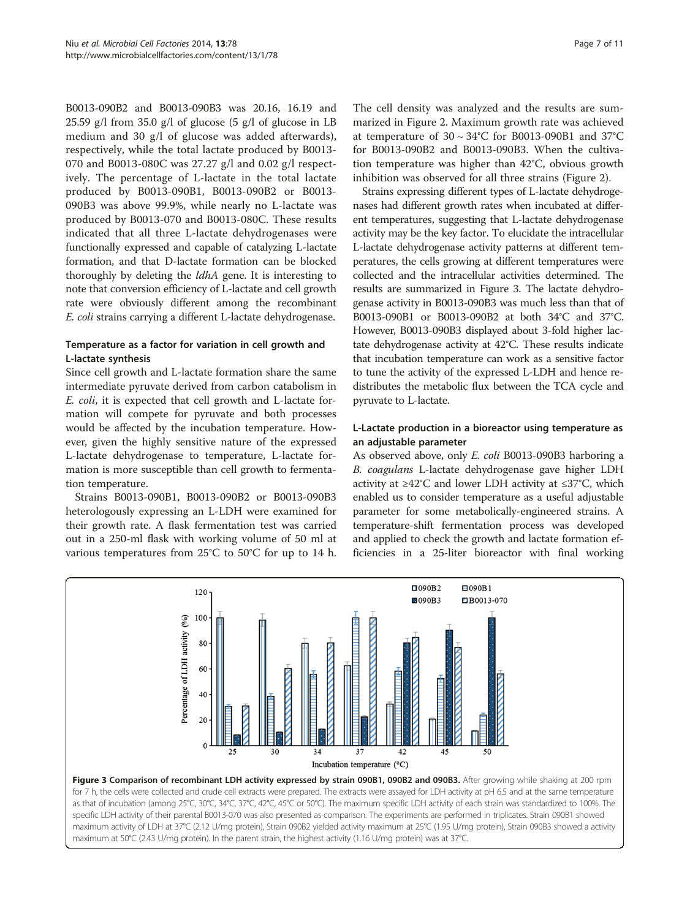<span id="page-6-0"></span>B0013-090B2 and B0013-090B3 was 20.16, 16.19 and 25.59 g/l from 35.0 g/l of glucose (5 g/l of glucose in LB medium and 30 g/l of glucose was added afterwards), respectively, while the total lactate produced by B0013- 070 and B0013-080C was 27.27 g/l and 0.02 g/l respectively. The percentage of L-lactate in the total lactate produced by B0013-090B1, B0013-090B2 or B0013- 090B3 was above 99.9%, while nearly no L-lactate was produced by B0013-070 and B0013-080C. These results indicated that all three L-lactate dehydrogenases were functionally expressed and capable of catalyzing L-lactate formation, and that D-lactate formation can be blocked thoroughly by deleting the ldhA gene. It is interesting to note that conversion efficiency of L-lactate and cell growth rate were obviously different among the recombinant E. coli strains carrying a different L-lactate dehydrogenase.

## Temperature as a factor for variation in cell growth and L-lactate synthesis

Since cell growth and L-lactate formation share the same intermediate pyruvate derived from carbon catabolism in E. coli, it is expected that cell growth and L-lactate formation will compete for pyruvate and both processes would be affected by the incubation temperature. However, given the highly sensitive nature of the expressed L-lactate dehydrogenase to temperature, L-lactate formation is more susceptible than cell growth to fermentation temperature.

Strains B0013-090B1, B0013-090B2 or B0013-090B3 heterologously expressing an L-LDH were examined for their growth rate. A flask fermentation test was carried out in a 250-ml flask with working volume of 50 ml at various temperatures from 25°C to 50°C for up to 14 h. The cell density was analyzed and the results are summarized in Figure [2.](#page-5-0) Maximum growth rate was achieved at temperature of  $30 \sim 34^{\circ}$ C for B0013-090B1 and 37°C for B0013-090B2 and B0013-090B3. When the cultivation temperature was higher than 42°C, obvious growth inhibition was observed for all three strains (Figure [2](#page-5-0)).

Strains expressing different types of L-lactate dehydrogenases had different growth rates when incubated at different temperatures, suggesting that L-lactate dehydrogenase activity may be the key factor. To elucidate the intracellular L-lactate dehydrogenase activity patterns at different temperatures, the cells growing at different temperatures were collected and the intracellular activities determined. The results are summarized in Figure 3. The lactate dehydrogenase activity in B0013-090B3 was much less than that of B0013-090B1 or B0013-090B2 at both 34°C and 37°C. However, B0013-090B3 displayed about 3-fold higher lactate dehydrogenase activity at 42°C. These results indicate that incubation temperature can work as a sensitive factor to tune the activity of the expressed L-LDH and hence redistributes the metabolic flux between the TCA cycle and pyruvate to L-lactate.

## L-Lactate production in a bioreactor using temperature as an adjustable parameter

As observed above, only E. coli B0013-090B3 harboring a B. coagulans L-lactate dehydrogenase gave higher LDH activity at ≥42°C and lower LDH activity at ≤37°C, which enabled us to consider temperature as a useful adjustable parameter for some metabolically-engineered strains. A temperature-shift fermentation process was developed and applied to check the growth and lactate formation efficiencies in a 25-liter bioreactor with final working



for 7 h, the cells were collected and crude cell extracts were prepared. The extracts were assayed for LDH activity at pH 6.5 and at the same temperature as that of incubation (among 25°C, 30°C, 34°C, 37°C, 42°C, 45°C or 50°C). The maximum specific LDH activity of each strain was standardized to 100%. The specific LDH activity of their parental B0013-070 was also presented as comparison. The experiments are performed in triplicates. Strain 090B1 showed maximum activity of LDH at 37°C (2.12 U/mg protein), Strain 090B2 yielded activity maximum at 25°C (1.95 U/mg protein), Strain 090B3 showed a activity maximum at 50°C (2.43 U/mg protein). In the parent strain, the highest activity (1.16 U/mg protein) was at 37°C.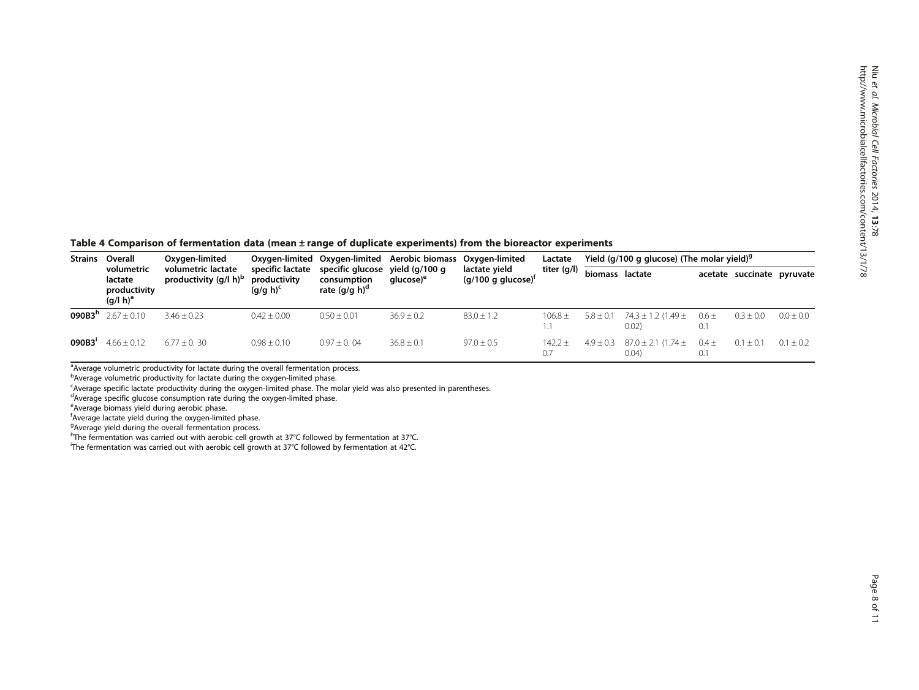<span id="page-7-0"></span>Table 4 Comparison of fermentation data (mean ± range of duplicate experiments) from the bioreactor experiments

| <b>Strains</b>     | Overall<br>volumetric<br>lactate<br>productivity<br>$(q/l h)^a$ | Oxygen-limited<br>volumetric lactate<br>productivity (g/l h) <sup>b</sup> | specific lactate<br>productivity<br>$(q/q h)^c$ | Oxygen-limited Oxygen-limited<br>specific glucose yield (g/100 g<br>consumption<br>rate $(q/q h)^{\alpha}$ | Aerobic biomass Oxygen-limited<br>alucose) <sup>e</sup> | lactate yield<br>$(g/100 g)$ glucose) <sup>r</sup> | Lactate<br>titer (g/l) | Yield (g/100 g glucose) (The molar yield) <sup>9</sup> |                                     |                          |                            |               |
|--------------------|-----------------------------------------------------------------|---------------------------------------------------------------------------|-------------------------------------------------|------------------------------------------------------------------------------------------------------------|---------------------------------------------------------|----------------------------------------------------|------------------------|--------------------------------------------------------|-------------------------------------|--------------------------|----------------------------|---------------|
|                    |                                                                 |                                                                           |                                                 |                                                                                                            |                                                         |                                                    |                        | biomass lactate                                        |                                     |                          | acetate succinate pyruvate |               |
| 090B3 <sup>n</sup> | $2.67 + 0.10$                                                   | $3.46 + 0.23$                                                             | $0.42 \pm 0.00$                                 | $0.50 \pm 0.01$                                                                                            | $36.9 \pm 0.2$                                          | $83.0 \pm 1.2$                                     | $106.8 \pm$            | $5.8 \pm 0.1$                                          | $74.3 \pm 1.2$ (1.49 $\pm$<br>0.02) | $0.6 \pm$<br>0.1         | $0.3 \pm 0.0$              | $0.0 \pm 0.0$ |
| 090B3'             | $4.66 + 0.12$                                                   | $6.77 + 0.30$                                                             | $0.98 \pm 0.10$                                 | $0.97 \pm 0.04$                                                                                            | $36.8 \pm 0.1$                                          | $97.0 \pm 0.5$                                     | $142.2 +$<br>0.7       | $4.9 + 0.3$                                            | $87.0 \pm 2.1$ (1.74 $\pm$<br>0.04) | $0.4 \pm$<br>$0^{\circ}$ | $0.1 \pm 0.1$              | $0.1 \pm 0.2$ |

<sup>a</sup>Average volumetric productivity for lactate during the overall fermentation process.

<sup>b</sup>Average volumetric productivity for lactate during the oxygen-limited phase.

<sup>c</sup>Average specific lactate productivity during the oxygen-limited phase. The molar yield was also presented in parentheses.

<sup>d</sup>Average specific glucose consumption rate during the oxygen-limited phase.

<sup>e</sup>Average biomass yield during aerobic phase.

f Average lactate yield during the oxygen-limited phase.

<sup>9</sup> Average yield during the overall fermentation process.

<sup>h</sup>The fermentation was carried out with aerobic cell growth at 37°C followed by fermentation at 37°C.

i The fermentation was carried out with aerobic cell growth at 37°C followed by fermentation at 42°C.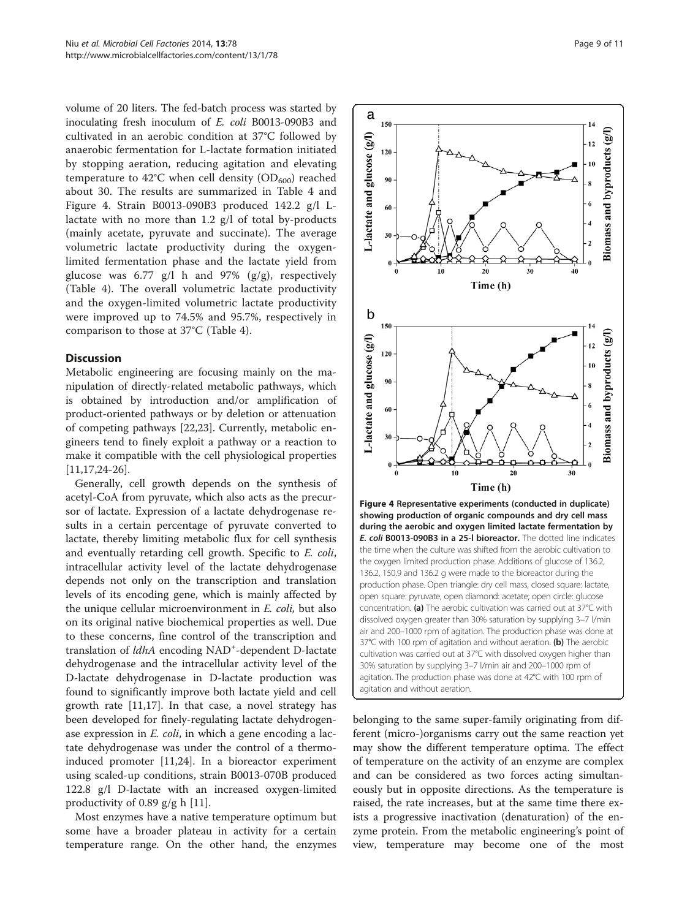<span id="page-8-0"></span>volume of 20 liters. The fed-batch process was started by inoculating fresh inoculum of E. coli B0013-090B3 and cultivated in an aerobic condition at 37°C followed by anaerobic fermentation for L-lactate formation initiated by stopping aeration, reducing agitation and elevating temperature to 42°C when cell density  $(OD_{600})$  reached about 30. The results are summarized in Table [4](#page-7-0) and Figure 4. Strain B0013-090B3 produced 142.2 g/l Llactate with no more than 1.2 g/l of total by-products (mainly acetate, pyruvate and succinate). The average volumetric lactate productivity during the oxygenlimited fermentation phase and the lactate yield from glucose was 6.77 g/l h and 97% ( $g/g$ ), respectively (Table [4\)](#page-7-0). The overall volumetric lactate productivity and the oxygen-limited volumetric lactate productivity were improved up to 74.5% and 95.7%, respectively in comparison to those at 37°C (Table [4](#page-7-0)).

#### **Discussion**

Metabolic engineering are focusing mainly on the manipulation of directly-related metabolic pathways, which is obtained by introduction and/or amplification of product-oriented pathways or by deletion or attenuation of competing pathways [[22](#page-10-0),[23](#page-10-0)]. Currently, metabolic engineers tend to finely exploit a pathway or a reaction to make it compatible with the cell physiological properties [[11,](#page-9-0)[17,24-26\]](#page-10-0).

Generally, cell growth depends on the synthesis of acetyl-CoA from pyruvate, which also acts as the precursor of lactate. Expression of a lactate dehydrogenase results in a certain percentage of pyruvate converted to lactate, thereby limiting metabolic flux for cell synthesis and eventually retarding cell growth. Specific to E. coli, intracellular activity level of the lactate dehydrogenase depends not only on the transcription and translation levels of its encoding gene, which is mainly affected by the unique cellular microenvironment in E. coli, but also on its original native biochemical properties as well. Due to these concerns, fine control of the transcription and translation of *ldhA* encoding NAD<sup>+</sup>-dependent D-lactate dehydrogenase and the intracellular activity level of the D-lactate dehydrogenase in D-lactate production was found to significantly improve both lactate yield and cell growth rate [[11,](#page-9-0)[17\]](#page-10-0). In that case, a novel strategy has been developed for finely-regulating lactate dehydrogenase expression in *E. coli*, in which a gene encoding a lactate dehydrogenase was under the control of a thermoinduced promoter [\[11](#page-9-0)[,24](#page-10-0)]. In a bioreactor experiment using scaled-up conditions, strain B0013-070B produced 122.8 g/l D-lactate with an increased oxygen-limited productivity of 0.89 g/g h [[11\]](#page-9-0).

Most enzymes have a native temperature optimum but some have a broader plateau in activity for a certain temperature range. On the other hand, the enzymes



belonging to the same super-family originating from different (micro-)organisms carry out the same reaction yet may show the different temperature optima. The effect of temperature on the activity of an enzyme are complex and can be considered as two forces acting simultaneously but in opposite directions. As the temperature is raised, the rate increases, but at the same time there exists a progressive inactivation (denaturation) of the enzyme protein. From the metabolic engineering's point of view, temperature may become one of the most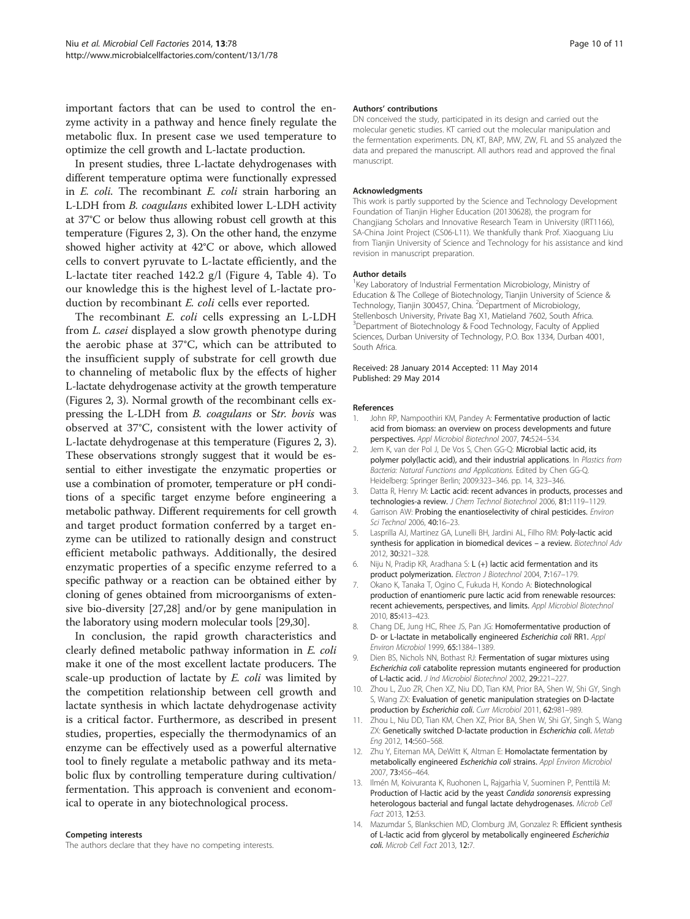<span id="page-9-0"></span>important factors that can be used to control the enzyme activity in a pathway and hence finely regulate the metabolic flux. In present case we used temperature to optimize the cell growth and L-lactate production.

In present studies, three L-lactate dehydrogenases with different temperature optima were functionally expressed in E. coli. The recombinant E. coli strain harboring an L-LDH from B. coagulans exhibited lower L-LDH activity at 37°C or below thus allowing robust cell growth at this temperature (Figures [2,](#page-5-0) [3](#page-6-0)). On the other hand, the enzyme showed higher activity at 42°C or above, which allowed cells to convert pyruvate to L-lactate efficiently, and the L-lactate titer reached 142.2 g/l (Figure [4,](#page-8-0) Table [4\)](#page-7-0). To our knowledge this is the highest level of L-lactate production by recombinant *E. coli* cells ever reported.

The recombinant *E. coli* cells expressing an L-LDH from L. casei displayed a slow growth phenotype during the aerobic phase at 37°C, which can be attributed to the insufficient supply of substrate for cell growth due to channeling of metabolic flux by the effects of higher L-lactate dehydrogenase activity at the growth temperature (Figures [2](#page-5-0), [3\)](#page-6-0). Normal growth of the recombinant cells expressing the L-LDH from B. coagulans or Str. bovis was observed at 37°C, consistent with the lower activity of L-lactate dehydrogenase at this temperature (Figures [2,](#page-5-0) [3](#page-6-0)). These observations strongly suggest that it would be essential to either investigate the enzymatic properties or use a combination of promoter, temperature or pH conditions of a specific target enzyme before engineering a metabolic pathway. Different requirements for cell growth and target product formation conferred by a target enzyme can be utilized to rationally design and construct efficient metabolic pathways. Additionally, the desired enzymatic properties of a specific enzyme referred to a specific pathway or a reaction can be obtained either by cloning of genes obtained from microorganisms of extensive bio-diversity [[27,28\]](#page-10-0) and/or by gene manipulation in the laboratory using modern molecular tools [\[29,30](#page-10-0)].

In conclusion, the rapid growth characteristics and clearly defined metabolic pathway information in E. coli make it one of the most excellent lactate producers. The scale-up production of lactate by *E. coli* was limited by the competition relationship between cell growth and lactate synthesis in which lactate dehydrogenase activity is a critical factor. Furthermore, as described in present studies, properties, especially the thermodynamics of an enzyme can be effectively used as a powerful alternative tool to finely regulate a metabolic pathway and its metabolic flux by controlling temperature during cultivation/ fermentation. This approach is convenient and economical to operate in any biotechnological process.

#### Competing interests

The authors declare that they have no competing interests.

#### Authors' contributions

DN conceived the study, participated in its design and carried out the molecular genetic studies. KT carried out the molecular manipulation and the fermentation experiments. DN, KT, BAP, MW, ZW, FL and SS analyzed the data and prepared the manuscript. All authors read and approved the final manuscript.

#### Acknowledgments

This work is partly supported by the Science and Technology Development Foundation of Tianjin Higher Education (20130628), the program for Changjiang Scholars and Innovative Research Team in University (IRT1166), SA-China Joint Project (CS06-L11). We thankfully thank Prof. Xiaoguang Liu from Tianjin University of Science and Technology for his assistance and kind revision in manuscript preparation.

#### Author details

<sup>1</sup> Key Laboratory of Industrial Fermentation Microbiology, Ministry of Education & The College of Biotechnology, Tianjin University of Science & Technology, Tianjin 300457, China. <sup>2</sup>Department of Microbiology, Stellenbosch University, Private Bag X1, Matieland 7602, South Africa. <sup>3</sup>Department of Biotechnology & Food Technology, Faculty of Applied Sciences, Durban University of Technology, P.O. Box 1334, Durban 4001, South Africa.

#### Received: 28 January 2014 Accepted: 11 May 2014 Published: 29 May 2014

#### References

- 1. John RP, Nampoothiri KM, Pandey A: Fermentative production of lactic acid from biomass: an overview on process developments and future perspectives. Appl Microbiol Biotechnol 2007, 74:524–534.
- 2. Jem K, van der Pol J, De Vos S, Chen GG-Q: Microbial lactic acid, its polymer poly(lactic acid), and their industrial applications. In Plastics from Bacteria: Natural Functions and Applications. Edited by Chen GG-Q. Heidelberg: Springer Berlin; 2009:323–346. pp. 14, 323–346.
- 3. Datta R, Henry M: Lactic acid: recent advances in products, processes and technologies-a review. J Chem Technol Biotechnol 2006, 81:1119–1129.
- 4. Garrison AW: Probing the enantioselectivity of chiral pesticides. Environ Sci Technol 2006, 40:16–23.
- 5. Lasprilla AJ, Martinez GA, Lunelli BH, Jardini AL, Filho RM: Poly-lactic acid synthesis for application in biomedical devices – a review. Biotechnol Adv 2012, 30:321–328.
- 6. Niju N, Pradip KR, Aradhana S: L (+) lactic acid fermentation and its product polymerization. Electron J Biotechnol 2004, 7:167-179.
- 7. Okano K, Tanaka T, Ogino C, Fukuda H, Kondo A: Biotechnological production of enantiomeric pure lactic acid from renewable resources: recent achievements, perspectives, and limits. Appl Microbiol Biotechnol 2010, 85:413–423.
- 8. Chang DE, Jung HC, Rhee JS, Pan JG: Homofermentative production of D- or L-lactate in metabolically engineered Escherichia coli RR1. Appl Environ Microbiol 1999, 65:1384–1389.
- 9. Dien BS, Nichols NN, Bothast RJ: Fermentation of sugar mixtures using Escherichia coli catabolite repression mutants engineered for production of L-lactic acid. J Ind Microbiol Biotechnol 2002, 29:221–227.
- 10. Zhou L, Zuo ZR, Chen XZ, Niu DD, Tian KM, Prior BA, Shen W, Shi GY, Singh S, Wang ZX: Evaluation of genetic manipulation strategies on D-lactate production by Escherichia coli. Curr Microbiol 2011, 62:981-989
- 11. Zhou L, Niu DD, Tian KM, Chen XZ, Prior BA, Shen W, Shi GY, Singh S, Wang ZX: Genetically switched D-lactate production in Escherichia coli. Metab Eng 2012, 14:560–568.
- 12. Zhu Y, Eiteman MA, DeWitt K, Altman E: Homolactate fermentation by metabolically engineered Escherichia coli strains. Appl Environ Microbiol 2007, 73:456–464.
- 13. Ilmén M, Koivuranta K, Ruohonen L, Rajgarhia V, Suominen P, Penttilä M: Production of l-lactic acid by the yeast Candida sonorensis expressing heterologous bacterial and fungal lactate dehydrogenases. Microb Cell Fact 2013, 12:53.
- 14. Mazumdar S, Blankschien MD, Clomburg JM, Gonzalez R: Efficient synthesis of L-lactic acid from glycerol by metabolically engineered Escherichia coli. Microb Cell Fact 2013, 12:7.